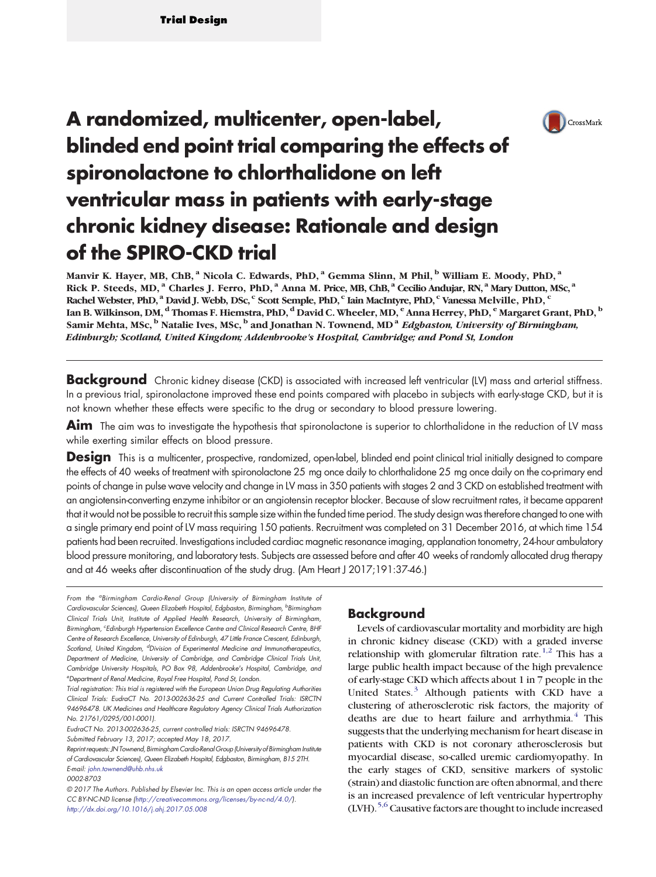

# A randomized, multicenter, open-label, blinded end point trial comparing the effects of spironolactone to chlorthalidone on left ventricular mass in patients with early-stage chronic kidney disease: Rationale and design of the SPIRO-CKD trial

Manvir K. Hayer, MB, ChB, <sup>a</sup> Nicola C. Edwards, PhD, <sup>a</sup> Gemma Slinn, M Phil, <sup>b</sup> William E. Moody, PhD, <sup>a</sup> Rick P. Steeds, MD, <sup>a</sup> Charles J. Ferro, PhD, <sup>a</sup> Anna M. Price, MB, ChB, <sup>a</sup> Cecilio Andujar, RN, <sup>a</sup> Mary Dutton, MSc, <sup>a</sup> Rachel Webster, PhD, <sup>a</sup> David J. Webb, DSc, <sup>c</sup> Scott Semple, PhD, <sup>c</sup> Iain MacIntyre, PhD, <sup>c</sup> Vanessa Melville, PhD, <sup>c</sup> Ian B. Wilkinson, DM, d Thomas F. Hiemstra, PhD, <sup>d</sup> David C. Wheeler, MD, <sup>e</sup> Anna Herrey, PhD, <sup>e</sup> Margaret Grant, PhD, <sup>b</sup> Samir Mehta, MSc,  $\overline{b}$  Natalie Ives, MSc,  $\overline{b}$  and Jonathan N. Townend, MD<sup>a</sup> Edgbaston, University of Birmingham, Edinburgh; Scotland, United Kingdom; Addenbrooke's Hospital, Cambridge; and Pond St, London

**Background** Chronic kidney disease (CKD) is associated with increased left ventricular (LV) mass and arterial stiffness. In a previous trial, spironolactone improved these end points compared with placebo in subjects with early-stage CKD, but it is not known whether these effects were specific to the drug or secondary to blood pressure lowering.

Aim The aim was to investigate the hypothesis that spironolactone is superior to chlorthalidone in the reduction of LV mass while exerting similar effects on blood pressure.

**Design** This is a multicenter, prospective, randomized, open-label, blinded end point clinical trial initially designed to compare the effects of 40 weeks of treatment with spironolactone 25 mg once daily to chlorthalidone 25 mg once daily on the co-primary end points of change in pulse wave velocity and change in LV mass in 350 patients with stages 2 and 3 CKD on established treatment with an angiotensin-converting enzyme inhibitor or an angiotensin receptor blocker. Because of slow recruitment rates, it became apparent that it would not be possible to recruit this sample size within the funded time period. The study design was therefore changed to one with a single primary end point of LV mass requiring 150 patients. Recruitment was completed on 31 December 2016, at which time 154 patients had been recruited. Investigations included cardiac magnetic resonance imaging, applanation tonometry, 24-hour ambulatory blood pressure monitoring, and laboratory tests. Subjects are assessed before and after 40 weeks of randomly allocated drug therapy and at 46 weeks after discontinuation of the study drug. (Am Heart J 2017;191:37-46.)

From the <sup>a</sup>Birmingham Cardio-Renal Group (University of Birmingham Institute of Cardiovascular Sciences), Queen Elizabeth Hospital, Edgbaston, Birmingham, <sup>b</sup>Birmingham Clinical Trials Unit, Institute of Applied Health Research, University of Birmingham, Birmingham, "Edinburgh Hypertension Excellence Centre and Clinical Research Centre, BHF Centre of Research Excellence, University of Edinburgh, 47 Little France Crescent, Edinburgh, Scotland, United Kingdom, <sup>d</sup>Division of Experimental Medicine and Immunotherapeutics, Department of Medicine, University of Cambridge, and Cambridge Clinical Trials Unit, Cambridge University Hospitals, PO Box 98, Addenbrooke's Hospital, Cambridge, and e Department of Renal Medicine, Royal Free Hospital, Pond St, London.

Trial registration: This trial is registered with the European Union Drug Regulating Authorities Clinical Trials: EudraCT No. 2013-002636-25 and Current Controlled Trials: ISRCTN 94696478. UK Medicines and Healthcare Regulatory Agency Clinical Trials Authorization No. 21761/0295/001-0001).

# Background

Levels of cardiovascular mortality and morbidity are high in chronic kidney disease (CKD) with a graded inverse relationship with glomerular filtration rate[.](#page-8-0)<sup>[1,2](#page-8-0)</sup> This has a large public health impact because of the high prevalence of early-stage CKD which affects about 1 in 7 people in the United States[.](#page-8-0) $3$  Although patients with CKD have a clustering of atherosclerotic risk factors, the majority of deaths are due to heart failure and arrhythmia[.](#page-8-0) $4$  This suggests that the underlying mechanism for heart disease in patients with CKD is not coronary atherosclerosis but myocardial disease, so-called uremic cardiomyopathy. In the early stages of CKD, sensitive markers of systolic (strain) and diastolic function are often abnormal, and there is an increased prevalence of left ventricular hypertrophy (LVH)[.](#page-8-0)<sup>[5,6](#page-8-0)</sup> Causative factors are thought to include increased

EudraCT No. 2013-002636-25, current controlled trials: ISRCTN 94696478.

Submitted February 13, 2017; accepted May 18, 2017.

Reprint requests: JN Townend, Birmingham Cardio-Renal Group(University of Birmingham Institute of Cardiovascular Sciences), Queen Elizabeth Hospital, Edgbaston, Birmingham, B15 2TH. E-mail: [john.townend@uhb.nhs.uk](mailto:john.townend@uhb.nhs.uk)

<sup>0002-8703</sup>

<sup>© 2017</sup> The Authors. Published by Elsevier Inc. This is an open access article under the CC BY-NC-ND license (http://creativecommons.org/licenses/by-nc-nd/4.0/). <http://dx.doi.org/10.1016/j.ahj.2017.05.008>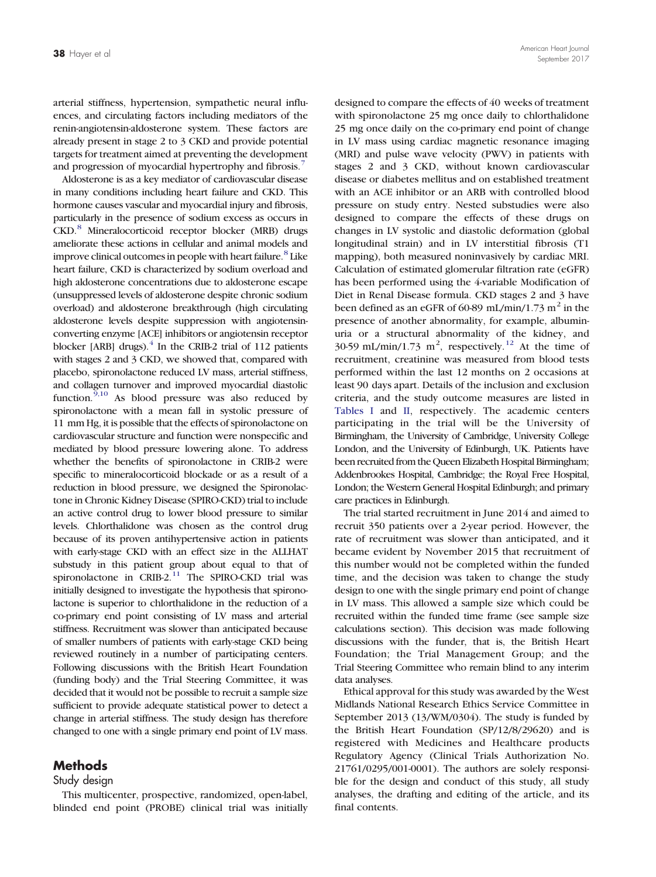arterial stiffness, hypertension, sympathetic neural influences, and circulating factors including mediators of the renin-angiotensin-aldosterone system. These factors are already present in stage 2 to 3 CKD and provide potential targets for treatment aimed at preventing the development and progression of myocardial hypertrophy and fibrosis[.](#page-8-0)<sup>[7](#page-8-0)</sup>

Aldosterone is as a key mediator of cardiovascular disease in many conditions including heart failure and CKD. This hormone causes vascular and myocardial injury and fibrosis, particularly in the presence of sodium excess as occurs in CKD[.](#page-8-0)[8](#page-8-0) Mineralocorticoid receptor blocker (MRB) drugs ameliorate these actions in cellular and animal models and improve clinical outcomes in people with heart failure[.](#page-8-0)<sup>[8](#page-8-0)</sup> Like heart failure, CKD is characterized by sodium overload and high aldosterone concentrations due to aldosterone escape (unsuppressed levels of aldosterone despite chronic sodium overload) and aldosterone breakthrough (high circulating aldosterone levels despite suppression with angiotensinconverting enzyme [ACE] inhibitors or angiotensin receptor blocker [ARB] drugs)[.](#page-8-0) $^{4}$  $^{4}$  $^{4}$  In the CRIB-2 trial of 112 patients with stages 2 and 3 CKD, we showed that, compared with placebo, spironolactone reduced LV mass, arterial stiffness, and collagen turnover and improved myocardial diastolic function[.](#page-8-0) $9,10$  As blood pressure was also reduced by spironolactone with a mean fall in systolic pressure of 11 mm Hg, it is possible that the effects of spironolactone on cardiovascular structure and function were nonspecific and mediated by blood pressure lowering alone. To address whether the benefits of spironolactone in CRIB-2 were specific to mineralocorticoid blockade or as a result of a reduction in blood pressure, we designed the Spironolactone in Chronic Kidney Disease (SPIRO-CKD) trial to include an active control drug to lower blood pressure to similar levels. Chlorthalidone was chosen as the control drug because of its proven antihypertensive action in patients with early-stage CKD with an effect size in the ALLHAT substudy in this patient group about equal to that of spironolactone in CRIB-2[.](#page-8-0)<sup>[11](#page-8-0)</sup> The SPIRO-CKD trial was initially designed to investigate the hypothesis that spironolactone is superior to chlorthalidone in the reduction of a co-primary end point consisting of LV mass and arterial stiffness. Recruitment was slower than anticipated because of smaller numbers of patients with early-stage CKD being reviewed routinely in a number of participating centers. Following discussions with the British Heart Foundation (funding body) and the Trial Steering Committee, it was decided that it would not be possible to recruit a sample size sufficient to provide adequate statistical power to detect a change in arterial stiffness. The study design has therefore changed to one with a single primary end point of LV mass.

# **Methods**

## Study design

This multicenter, prospective, randomized, open-label, blinded end point (PROBE) clinical trial was initially designed to compare the effects of 40 weeks of treatment with spironolactone 25 mg once daily to chlorthalidone 25 mg once daily on the co-primary end point of change in LV mass using cardiac magnetic resonance imaging (MRI) and pulse wave velocity (PWV) in patients with stages 2 and 3 CKD, without known cardiovascular disease or diabetes mellitus and on established treatment with an ACE inhibitor or an ARB with controlled blood pressure on study entry. Nested substudies were also designed to compare the effects of these drugs on changes in LV systolic and diastolic deformation (global longitudinal strain) and in LV interstitial fibrosis (T1 mapping), both measured noninvasively by cardiac MRI. Calculation of estimated glomerular filtration rate (eGFR) has been performed using the 4-variable Modification of Diet in Renal Disease formula. CKD stages 2 and 3 have been defined as an eGFR of 60-89 mL/min/1.73  $m<sup>2</sup>$  in the presence of another abnormality, for example, albuminuria or a structural abnormality of the kidney, and 30-59 mL/min/1[.](#page-8-0)73 m<sup>2</sup>, respectively.<sup>[12](#page-8-0)</sup> At the time of recruitment, creatinine was measured from blood tests performed within the last 12 months on 2 occasions at least 90 days apart. Details of the inclusion and exclusion criteria, and the study outcome measures are listed in [Tables I](#page-2-0) and [II,](#page-3-0) respectively. The academic centers participating in the trial will be the University of Birmingham, the University of Cambridge, University College London, and the University of Edinburgh, UK. Patients have been recruited from the Queen Elizabeth Hospital Birmingham; Addenbrookes Hospital, Cambridge; the Royal Free Hospital, London; the Western General Hospital Edinburgh; and primary care practices in Edinburgh.

The trial started recruitment in June 2014 and aimed to recruit 350 patients over a 2-year period. However, the rate of recruitment was slower than anticipated, and it became evident by November 2015 that recruitment of this number would not be completed within the funded time, and the decision was taken to change the study design to one with the single primary end point of change in LV mass. This allowed a sample size which could be recruited within the funded time frame (see sample size calculations section). This decision was made following discussions with the funder, that is, the British Heart Foundation; the Trial Management Group; and the Trial Steering Committee who remain blind to any interim data analyses.

Ethical approval for this study was awarded by the West Midlands National Research Ethics Service Committee in September 2013 (13/WM/0304). The study is funded by the British Heart Foundation (SP/12/8/29620) and is registered with Medicines and Healthcare products Regulatory Agency (Clinical Trials Authorization No. 21761/0295/001-0001). The authors are solely responsible for the design and conduct of this study, all study analyses, the drafting and editing of the article, and its final contents.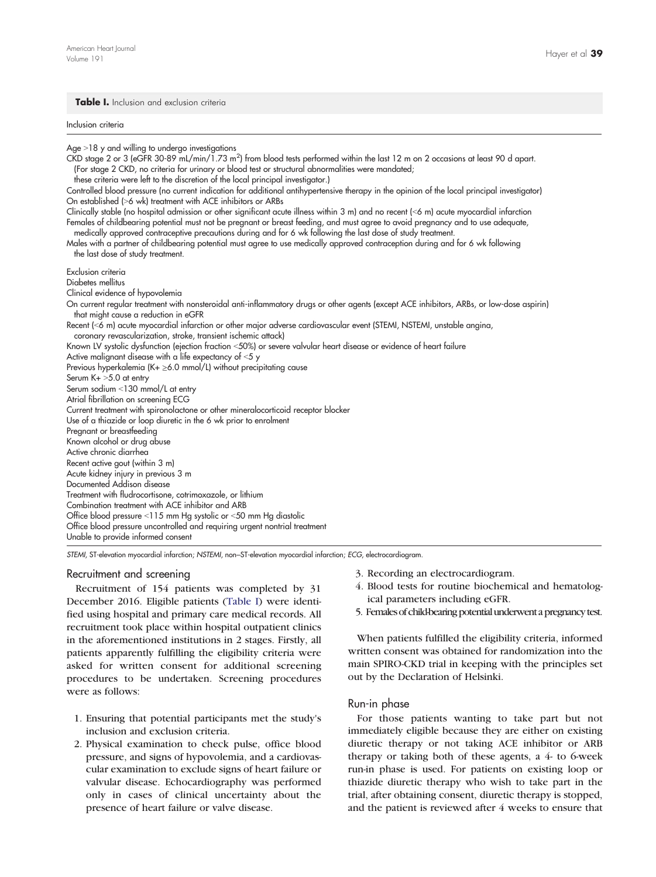#### <span id="page-2-0"></span>Table I. Inclusion and exclusion criteria

Table I. Inclusion and exclusion criteria Inclusion criteria

Age  $>18$  y and willing to undergo investigations

CKD stage 2 or 3 (eGFR 30-89 mL/min/1.73 m<sup>2</sup> ) from blood tests performed within the last 12 m on 2 occasions at least 90 d apart. (For stage 2 CKD, no criteria for urinary or blood test or structural abnormalities were mandated;

these criteria were left to the discretion of the local principal investigator.)

Controlled blood pressure (no current indication for additional antihypertensive therapy in the opinion of the local principal investigator) On established (>6 wk) treatment with ACE inhibitors or ARBs

Clinically stable (no hospital admission or other significant acute illness within 3 m) and no recent (<6 m) acute myocardial infarction Females of childbearing potential must not be pregnant or breast feeding, and must agree to avoid pregnancy and to use adequate, medically approved contraceptive precautions during and for 6 wk following the last dose of study treatment.

Males with a partner of childbearing potential must agree to use medically approved contraception during and for 6 wk following the last dose of study treatment.

Exclusion criteria

Diabetes mellitus

Clinical evidence of hypovolemia

On current regular treatment with nonsteroidal anti-inflammatory drugs or other agents (except ACE inhibitors, ARBs, or low-dose aspirin) that might cause a reduction in eGFR

Recent (<6 m) acute myocardial infarction or other major adverse cardiovascular event (STEMI, NSTEMI, unstable angina, coronary revascularization, stroke, transient ischemic attack)

Known LV systolic dysfunction (ejection fraction <50%) or severe valvular heart disease or evidence of heart failure

Active malignant disease with a life expectancy of  $<$  5 y

Previous hyperkalemia (K+ $\geq$ 6.0 mmol/L) without precipitating cause

Serum  $K+ >5.0$  at entry

Serum sodium <130 mmol/L at entry

Atrial fibrillation on screening ECG Current treatment with spironolactone or other mineralocorticoid receptor blocker

Use of a thiazide or loop diuretic in the 6 wk prior to enrolment

Pregnant or breastfeeding Known alcohol or drug abuse

Active chronic diarrhea

Recent active gout (within 3 m)

Acute kidney injury in previous 3 m

Documented Addison disease Treatment with fludrocortisone, cotrimoxazole, or lithium

Combination treatment with ACE inhibitor and ARB

Office blood pressure <115 mm Hg systolic or <50 mm Hg diastolic

Office blood pressure uncontrolled and requiring urgent nontrial treatment

Unable to provide informed consent

STEMI, ST-elevation myocardial infarction; NSTEMI, non–ST-elevation myocardial infarction; ECG, electrocardiogram.

## Recruitment and screening

Recruitment of 154 patients was completed by 31 December 2016. Eligible patients (Table I) were identified using hospital and primary care medical records. All recruitment took place within hospital outpatient clinics in the aforementioned institutions in 2 stages. Firstly, all patients apparently fulfilling the eligibility criteria were asked for written consent for additional screening procedures to be undertaken. Screening procedures were as follows:

- 1. Ensuring that potential participants met the study's inclusion and exclusion criteria.
- 2. Physical examination to check pulse, office blood pressure, and signs of hypovolemia, and a cardiovascular examination to exclude signs of heart failure or valvular disease. Echocardiography was performed only in cases of clinical uncertainty about the presence of heart failure or valve disease.
- 3. Recording an electrocardiogram.
- 4. Blood tests for routine biochemical and hematological parameters including eGFR.
- 5. Females of child-bearing potential underwent a pregnancy test.

When patients fulfilled the eligibility criteria, informed written consent was obtained for randomization into the main SPIRO-CKD trial in keeping with the principles set out by the Declaration of Helsinki.

## Run-in phase

For those patients wanting to take part but not immediately eligible because they are either on existing diuretic therapy or not taking ACE inhibitor or ARB therapy or taking both of these agents,  $a \pm to 6$  week run-in phase is used. For patients on existing loop or thiazide diuretic therapy who wish to take part in the trial, after obtaining consent, diuretic therapy is stopped, and the patient is reviewed after 4 weeks to ensure that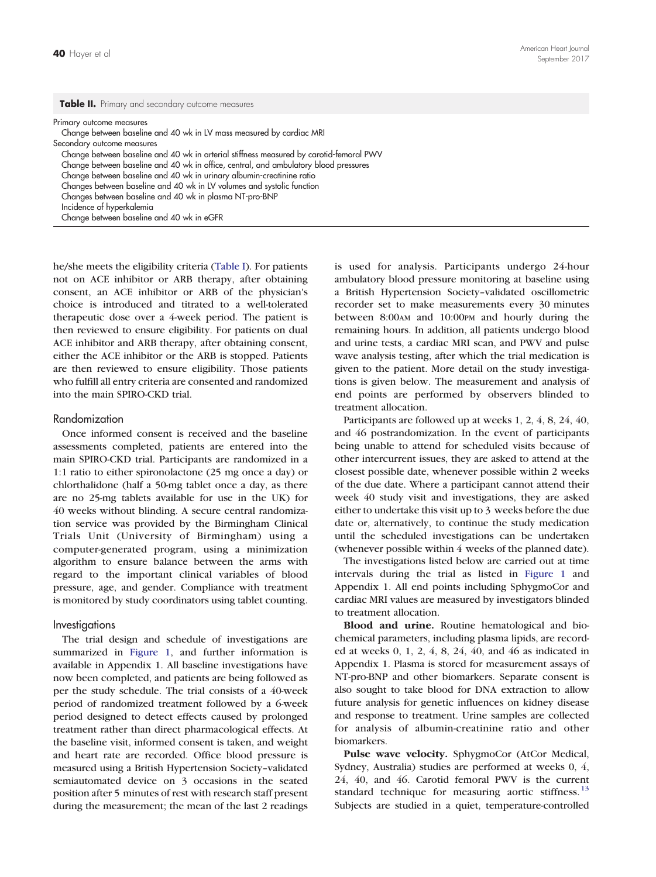<span id="page-3-0"></span>Primary outcome measures

Change between baseline and 40 wk in LV mass measured by cardiac MRI Secondary outcome measures Change between baseline and 40 wk in arterial stiffness measured by carotid-femoral PWV Change between baseline and 40 wk in office, central, and ambulatory blood pressures

Change between baseline and 40 wk in urinary albumin-creatinine ratio

Changes between baseline and 40 wk in LV volumes and systolic function

Changes between baseline and 40 wk in plasma NT-pro-BNP

Incidence of hyperkalemia

Change between baseline and 40 wk in eGFR

he/she meets the eligibility criteria ([Table I](#page-2-0)). For patients not on ACE inhibitor or ARB therapy, after obtaining consent, an ACE inhibitor or ARB of the physician's choice is introduced and titrated to a well-tolerated therapeutic dose over a 4-week period. The patient is then reviewed to ensure eligibility. For patients on dual ACE inhibitor and ARB therapy, after obtaining consent, either the ACE inhibitor or the ARB is stopped. Patients are then reviewed to ensure eligibility. Those patients who fulfill all entry criteria are consented and randomized into the main SPIRO-CKD trial.

#### Randomization

Once informed consent is received and the baseline assessments completed, patients are entered into the main SPIRO-CKD trial. Participants are randomized in a 1:1 ratio to either spironolactone (25 mg once a day) or chlorthalidone (half a 50-mg tablet once a day, as there are no 25-mg tablets available for use in the UK) for 40 weeks without blinding. A secure central randomization service was provided by the Birmingham Clinical Trials Unit (University of Birmingham) using a computer-generated program, using a minimization algorithm to ensure balance between the arms with regard to the important clinical variables of blood pressure, age, and gender. Compliance with treatment is monitored by study coordinators using tablet counting.

#### Investigations

The trial design and schedule of investigations are summarized in [Figure 1](#page-4-0), and further information is available in Appendix 1. All baseline investigations have now been completed, and patients are being followed as per the study schedule. The trial consists of a 40-week period of randomized treatment followed by a 6-week period designed to detect effects caused by prolonged treatment rather than direct pharmacological effects. At the baseline visit, informed consent is taken, and weight and heart rate are recorded. Office blood pressure is measured using a British Hypertension Society–validated semiautomated device on 3 occasions in the seated position after 5 minutes of rest with research staff present during the measurement; the mean of the last 2 readings

is used for analysis. Participants undergo 24-hour ambulatory blood pressure monitoring at baseline using a British Hypertension Society–validated oscillometric recorder set to make measurements every 30 minutes between 8:00AM and 10:00PM and hourly during the remaining hours. In addition, all patients undergo blood and urine tests, a cardiac MRI scan, and PWV and pulse wave analysis testing, after which the trial medication is given to the patient. More detail on the study investigations is given below. The measurement and analysis of end points are performed by observers blinded to treatment allocation.

Participants are followed up at weeks 1, 2, 4, 8, 24, 40, and 46 postrandomization. In the event of participants being unable to attend for scheduled visits because of other intercurrent issues, they are asked to attend at the closest possible date, whenever possible within 2 weeks of the due date. Where a participant cannot attend their week 40 study visit and investigations, they are asked either to undertake this visit up to 3 weeks before the due date or, alternatively, to continue the study medication until the scheduled investigations can be undertaken (whenever possible within 4 weeks of the planned date).

The investigations listed below are carried out at time intervals during the trial as listed in [Figure 1](#page-4-0) and Appendix 1. All end points including SphygmoCor and cardiac MRI values are measured by investigators blinded to treatment allocation.

Blood and urine. Routine hematological and biochemical parameters, including plasma lipids, are recorded at weeks 0, 1, 2, 4, 8, 24, 40, and 46 as indicated in Appendix 1. Plasma is stored for measurement assays of NT-pro-BNP and other biomarkers. Separate consent is also sought to take blood for DNA extraction to allow future analysis for genetic influences on kidney disease and response to treatment. Urine samples are collected for analysis of albumin-creatinine ratio and other biomarkers.

Pulse wave velocity. SphygmoCor (AtCor Medical, Sydney, Australia) studies are performed at weeks 0, 4, 24, 40, and 46. Carotid femoral PWV is the current standard technique for measuring aortic stiffness[.](#page-8-0)<sup>[13](#page-8-0)</sup> Subjects are studied in a quiet, temperature-controlled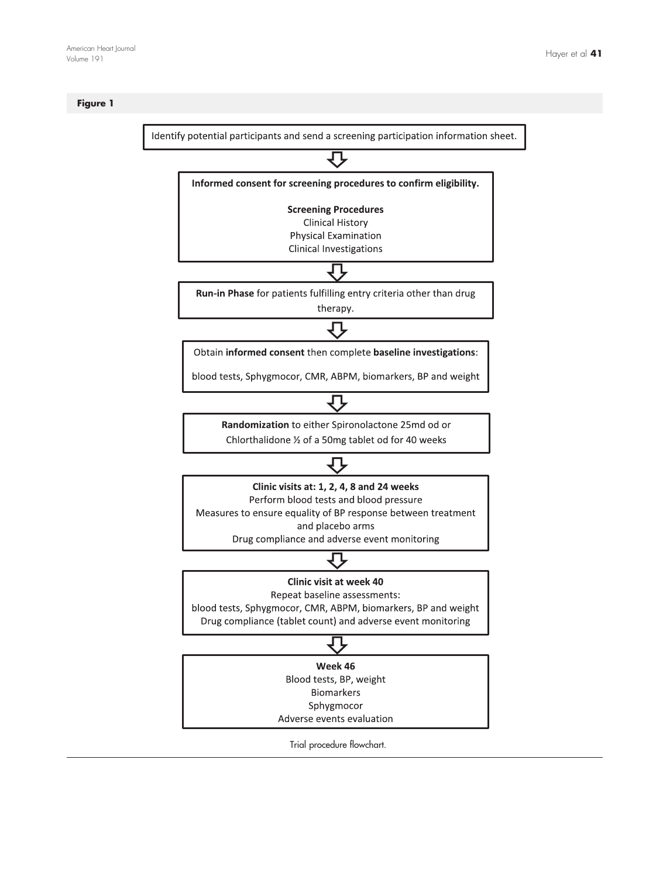# <span id="page-4-0"></span>Figure 1

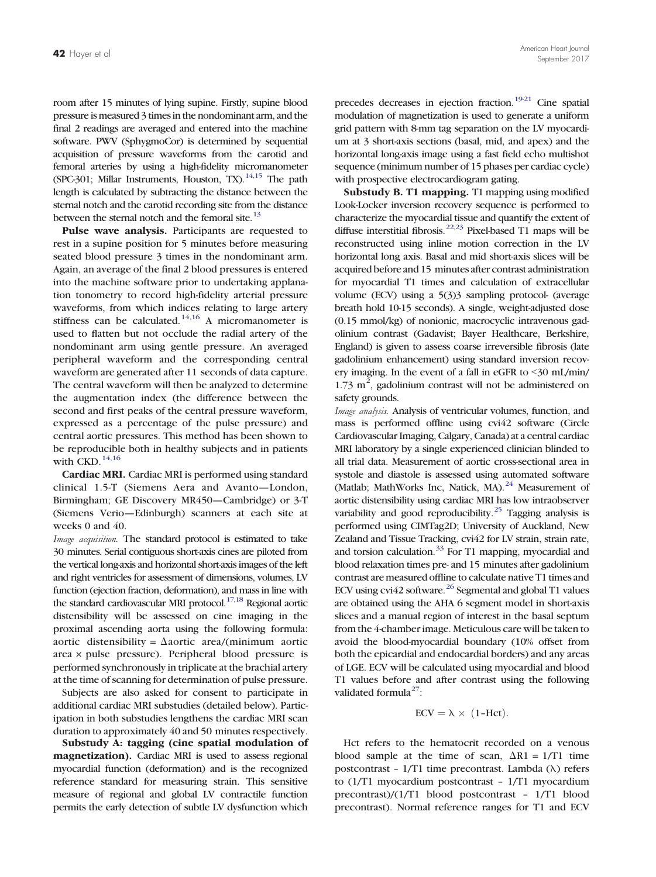room after 15 minutes of lying supine. Firstly, supine blood pressure is measured 3 times in the nondominant arm, and the final 2 readings are averaged and entered into the machine software. PWV (SphygmoCor) is determined by sequential acquisition of pressure waveforms from the carotid and femoral arteries by using a high-fidelity micromanometer (SPC-301; Millar Instruments, Houston, TX)[.](#page-8-0)<sup>[14,15](#page-8-0)</sup> The path length is calculated by subtracting the distance between the sternal notch and the carotid recording site from the distance between the sternal notch and the femoral site[.](#page-8-0)<sup>[13](#page-8-0)</sup>

Pulse wave analysis. Participants are requested to rest in a supine position for 5 minutes before measuring seated blood pressure 3 times in the nondominant arm. Again, an average of the final 2 blood pressures is entered into the machine software prior to undertaking applanation tonometry to record high-fidelity arterial pressure waveforms, from which indices relating to large artery stiffness can be calculated[.](#page-8-0)<sup>[14,16](#page-8-0)</sup> A micromanometer is used to flatten but not occlude the radial artery of the nondominant arm using gentle pressure. An averaged peripheral waveform and the corresponding central waveform are generated after 11 seconds of data capture. The central waveform will then be analyzed to determine the augmentation index (the difference between the second and first peaks of the central pressure waveform, expressed as a percentage of the pulse pressure) and central aortic pressures. This method has been shown to be reproducible both in healthy subjects and in patients with CKD[.](#page-8-0)  $^{14,16}\,$  $^{14,16}\,$  $^{14,16}\,$ 

Cardiac MRI. Cardiac MRI is performed using standard clinical 1.5-T (Siemens Aera and Avanto—London, Birmingham; GE Discovery MR450—Cambridge) or 3-T (Siemens Verio—Edinburgh) scanners at each site at weeks 0 and 40.

Image acquisition. The standard protocol is estimated to take 30 minutes. Serial contiguous short-axis cines are piloted from the vertical long-axis and horizontal short-axis images of the left and right ventricles for assessment of dimensions, volumes, LV function (ejection fraction, deformation), and mass in line with the standard cardiovascular MRI protocol[.](#page-8-0)<sup>[17,18](#page-8-0)</sup> Regional aortic distensibility will be assessed on cine imaging in the proximal ascending aorta using the following formula: aortic distensibility =  $\Delta$ aortic area/(minimum aortic area × pulse pressure). Peripheral blood pressure is performed synchronously in triplicate at the brachial artery at the time of scanning for determination of pulse pressure.

Subjects are also asked for consent to participate in additional cardiac MRI substudies (detailed below). Participation in both substudies lengthens the cardiac MRI scan duration to approximately 40 and 50 minutes respectively.

Substudy A: tagging (cine spatial modulation of magnetization). Cardiac MRI is used to assess regional myocardial function (deformation) and is the recognized reference standard for measuring strain. This sensitive measure of regional and global LV contractile function permits the early detection of subtle LV dysfunction which

precedes decreases in ejection fraction[.](#page-8-0)<sup>[19-21](#page-8-0)</sup> Cine spatial modulation of magnetization is used to generate a uniform grid pattern with 8-mm tag separation on the LV myocardium at 3 short-axis sections (basal, mid, and apex) and the horizontal long-axis image using a fast field echo multishot sequence (minimum number of 15 phases per cardiac cycle) with prospective electrocardiogram gating.

Substudy B. T1 mapping. T1 mapping using modified Look-Locker inversion recovery sequence is performed to characterize the myocardial tissue and quantify the extent of diffuse interstitial fibrosis[.](#page-8-0)<sup>[22,23](#page-8-0)</sup> Pixel-based T1 maps will be reconstructed using inline motion correction in the LV horizontal long axis. Basal and mid short-axis slices will be acquired before and 15 minutes after contrast administration for myocardial T1 times and calculation of extracellular volume (ECV) using a 5(3)3 sampling protocol- (average breath hold 10-15 seconds). A single, weight-adjusted dose (0.15 mmol/kg) of nonionic, macrocyclic intravenous gadolinium contrast (Gadavist; Bayer Healthcare, Berkshire, England) is given to assess coarse irreversible fibrosis (late gadolinium enhancement) using standard inversion recovery imaging. In the event of a fall in eGFR to  $\leq$ 30 mL/min/  $1.73 \text{ m}^2$ , gadolinium contrast will not be administered on safety grounds.

Image analysis. Analysis of ventricular volumes, function, and mass is performed offline using cvi42 software (Circle Cardiovascular Imaging, Calgary, Canada) at a central cardiac MRI laboratory by a single experienced clinician blinded to all trial data. Measurement of aortic cross-sectional area in systole and diastole is assessed using automated software (Matlab; MathWorks Inc, Natick, MA)[.](#page-8-0)<sup>[24](#page-8-0)</sup> Measurement of aortic distensibility using cardiac MRI has low intraobserver variability and good reproducibility[.](#page-8-0)<sup>[25](#page-8-0)</sup> Tagging analysis is performed using CIMTag2D; University of Auckland, New Zealand and Tissue Tracking, cvi42 for LV strain, strain rate, and torsion calculation[.](#page-9-0) $33$  For T1 mapping, myocardial and blood relaxation times pre- and 15 minutes after gadolinium contrast are measured offline to calculate native T1 times and ECV using  $cvi42$  software[.](#page-8-0)<sup>[26](#page-8-0)</sup> Segmental and global T1 values are obtained using the AHA 6 segment model in short-axis slices and a manual region of interest in the basal septum from the 4-chamber image. Meticulous care will be taken to avoid the blood-myocardial boundary (10% offset from both the epicardial and endocardial borders) and any areas of LGE. ECV will be calculated using myocardial and blood T1 values before and after contrast using the following v[a](#page-8-0)lidated formula $^{27}$  $^{27}$  $^{27}$ :

$$
ECV = \lambda \times (1-Hct).
$$

Hct refers to the hematocrit recorded on a venous blood sample at the time of scan,  $\Delta R1 = 1/T1$  time postcontrast – 1/T1 time precontrast. Lambda (λ) refers to (1/T1 myocardium postcontrast – 1/T1 myocardium precontrast)/(1/T1 blood postcontrast – 1/T1 blood precontrast). Normal reference ranges for T1 and ECV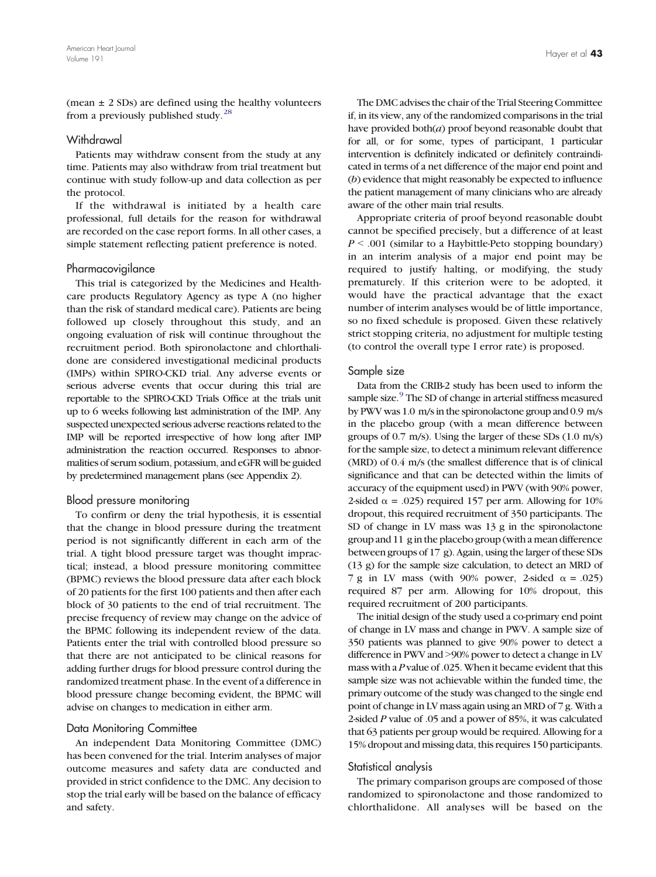(mean  $\pm$  2 SDs) are defined using the healthy volunteers from a previously published study[.](#page-9-0)<sup>[28](#page-9-0)</sup>

#### **Withdrawal**

Patients may withdraw consent from the study at any time. Patients may also withdraw from trial treatment but continue with study follow-up and data collection as per the protocol.

If the withdrawal is initiated by a health care professional, full details for the reason for withdrawal are recorded on the case report forms. In all other cases, a simple statement reflecting patient preference is noted.

## Pharmacovigilance

This trial is categorized by the Medicines and Healthcare products Regulatory Agency as type A (no higher than the risk of standard medical care). Patients are being followed up closely throughout this study, and an ongoing evaluation of risk will continue throughout the recruitment period. Both spironolactone and chlorthalidone are considered investigational medicinal products (IMPs) within SPIRO-CKD trial. Any adverse events or serious adverse events that occur during this trial are reportable to the SPIRO-CKD Trials Office at the trials unit up to 6 weeks following last administration of the IMP. Any suspected unexpected serious adverse reactions related to the IMP will be reported irrespective of how long after IMP administration the reaction occurred. Responses to abnormalities of serum sodium, potassium, and eGFR will be guided by predetermined management plans (see Appendix 2).

## Blood pressure monitoring

To confirm or deny the trial hypothesis, it is essential that the change in blood pressure during the treatment period is not significantly different in each arm of the trial. A tight blood pressure target was thought impractical; instead, a blood pressure monitoring committee (BPMC) reviews the blood pressure data after each block of 20 patients for the first 100 patients and then after each block of 30 patients to the end of trial recruitment. The precise frequency of review may change on the advice of the BPMC following its independent review of the data. Patients enter the trial with controlled blood pressure so that there are not anticipated to be clinical reasons for adding further drugs for blood pressure control during the randomized treatment phase. In the event of a difference in blood pressure change becoming evident, the BPMC will advise on changes to medication in either arm.

#### Data Monitoring Committee

An independent Data Monitoring Committee (DMC) has been convened for the trial. Interim analyses of major outcome measures and safety data are conducted and provided in strict confidence to the DMC. Any decision to stop the trial early will be based on the balance of efficacy and safety.

The DMC advises the chair of the Trial Steering Committee if, in its view, any of the randomized comparisons in the trial have provided both(a) proof beyond reasonable doubt that for all, or for some, types of participant, 1 particular intervention is definitely indicated or definitely contraindicated in terms of a net difference of the major end point and (b) evidence that might reasonably be expected to influence the patient management of many clinicians who are already aware of the other main trial results.

Appropriate criteria of proof beyond reasonable doubt cannot be specified precisely, but a difference of at least  $P \leq .001$  (similar to a Haybittle-Peto stopping boundary) in an interim analysis of a major end point may be required to justify halting, or modifying, the study prematurely. If this criterion were to be adopted, it would have the practical advantage that the exact number of interim analyses would be of little importance, so no fixed schedule is proposed. Given these relatively strict stopping criteria, no adjustment for multiple testing (to control the overall type I error rate) is proposed.

#### Sample size

Data from the CRIB-2 study has been used to inform the sample size[.](#page-8-0)<sup>[9](#page-8-0)</sup> The SD of change in arterial stiffness measured by PWV was 1.0 m/s in the spironolactone group and 0.9 m/s in the placebo group (with a mean difference between groups of 0.7 m/s). Using the larger of these SDs (1.0 m/s) for the sample size, to detect a minimum relevant difference (MRD) of 0.4 m/s (the smallest difference that is of clinical significance and that can be detected within the limits of accuracy of the equipment used) in PWV (with 90% power, 2-sided  $\alpha$  = .025) required 157 per arm. Allowing for 10% dropout, this required recruitment of 350 participants. The SD of change in LV mass was 13 g in the spironolactone group and 11 g in the placebo group (with a mean difference between groups of 17 g). Again, using the larger of these SDs (13 g) for the sample size calculation, to detect an MRD of 7 g in LV mass (with 90% power, 2-sided  $\alpha$  = .025) required 87 per arm. Allowing for 10% dropout, this required recruitment of 200 participants.

The initial design of the study used a co-primary end point of change in LV mass and change in PWV. A sample size of 350 patients was planned to give 90% power to detect a difference in PWV and >90% power to detect a change in LV mass with a P value of .025. When it became evident that this sample size was not achievable within the funded time, the primary outcome of the study was changed to the single end point of change in LV mass again using an MRD of 7 g. With a 2-sided P value of .05 and a power of 85%, it was calculated that 63 patients per group would be required. Allowing for a 15% dropout and missing data, this requires 150 participants.

## Statistical analysis

The primary comparison groups are composed of those randomized to spironolactone and those randomized to chlorthalidone. All analyses will be based on the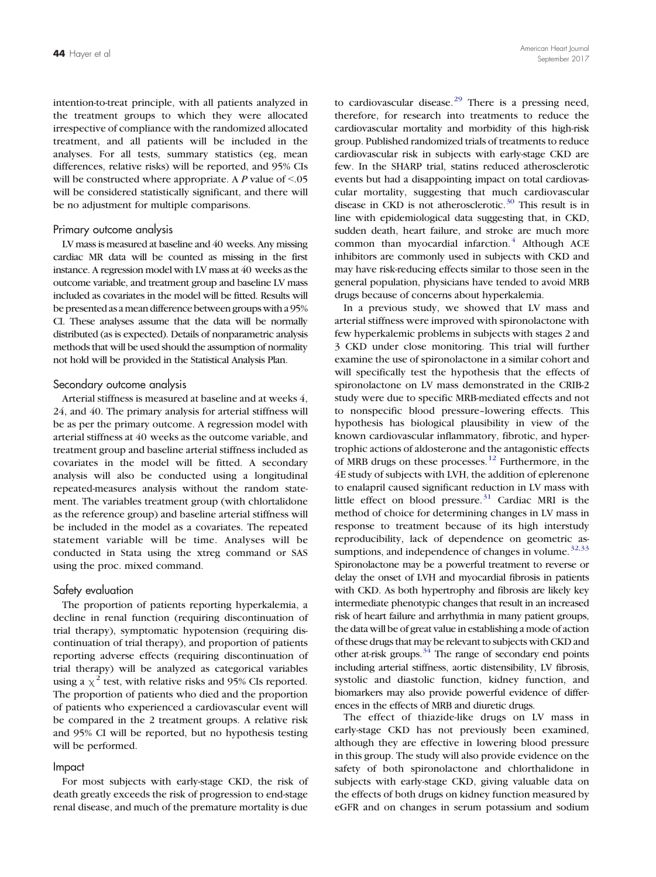intention-to-treat principle, with all patients analyzed in the treatment groups to which they were allocated irrespective of compliance with the randomized allocated treatment, and all patients will be included in the analyses. For all tests, summary statistics (eg, mean differences, relative risks) will be reported, and 95% CIs will be constructed where appropriate. A  $P$  value of  $\le$ .05 will be considered statistically significant, and there will be no adjustment for multiple comparisons.

#### Primary outcome analysis

LV mass is measured at baseline and 40 weeks. Any missing cardiac MR data will be counted as missing in the first instance. A regression model with LV mass at 40 weeks as the outcome variable, and treatment group and baseline LV mass included as covariates in the model will be fitted. Results will be presented as a mean difference between groups with a 95% CI. These analyses assume that the data will be normally distributed (as is expected). Details of nonparametric analysis methods that will be used should the assumption of normality not hold will be provided in the Statistical Analysis Plan.

#### Secondary outcome analysis

Arterial stiffness is measured at baseline and at weeks 4, 24, and 40. The primary analysis for arterial stiffness will be as per the primary outcome. A regression model with arterial stiffness at 40 weeks as the outcome variable, and treatment group and baseline arterial stiffness included as covariates in the model will be fitted. A secondary analysis will also be conducted using a longitudinal repeated-measures analysis without the random statement. The variables treatment group (with chlortalidone as the reference group) and baseline arterial stiffness will be included in the model as a covariates. The repeated statement variable will be time. Analyses will be conducted in Stata using the xtreg command or SAS using the proc. mixed command.

#### Safety evaluation

The proportion of patients reporting hyperkalemia, a decline in renal function (requiring discontinuation of trial therapy), symptomatic hypotension (requiring discontinuation of trial therapy), and proportion of patients reporting adverse effects (requiring discontinuation of trial therapy) will be analyzed as categorical variables using a  $\chi^2$  test, with relative risks and 95% CIs reported. The proportion of patients who died and the proportion of patients who experienced a cardiovascular event will be compared in the 2 treatment groups. A relative risk and 95% CI will be reported, but no hypothesis testing will be performed.

#### Impact

For most subjects with early-stage CKD, the risk of death greatly exceeds the risk of progression to end-stage renal disease, and much of the premature mortality is due

to cardiovascular disease[.](#page-9-0) $29$  There is a pressing need, therefore, for research into treatments to reduce the cardiovascular mortality and morbidity of this high-risk group. Published randomized trials of treatments to reduce cardiovascular risk in subjects with early-stage CKD are few. In the SHARP trial, statins reduced atherosclerotic events but had a disappointing impact on total cardiovascular mortality, suggesting that much cardiovascular disease in CKD is not atherosclerotic[.](#page-9-0)<sup>[30](#page-9-0)</sup> This result is in line with epidemiological data suggesting that, in CKD, sudden death, heart failure, and stroke are much more common than myocardial infarction[.](#page-8-0)<sup>[4](#page-8-0)</sup> Although ACE inhibitors are commonly used in subjects with CKD and may have risk-reducing effects similar to those seen in the general population, physicians have tended to avoid MRB drugs because of concerns about hyperkalemia.

In a previous study, we showed that LV mass and arterial stiffness were improved with spironolactone with few hyperkalemic problems in subjects with stages 2 and 3 CKD under close monitoring. This trial will further examine the use of spironolactone in a similar cohort and will specifically test the hypothesis that the effects of spironolactone on LV mass demonstrated in the CRIB-2 study were due to specific MRB-mediated effects and not to nonspecific blood pressure–lowering effects. This hypothesis has biological plausibility in view of the known cardiovascular inflammatory, fibrotic, and hypertrophic actions of aldosterone and the antagonistic effects of MRB drugs on these processes[.](#page-8-0)[12](#page-8-0) Furthermore, in the 4E study of subjects with LVH, the addition of eplerenone to enalapril caused significant reduction in LV mass with little effect on blood pressure[.](#page-9-0)<sup>[31](#page-9-0)</sup> Cardiac MRI is the method of choice for determining changes in LV mass in response to treatment because of its high interstudy reproducibility, lack of dependence on geometric as-sumptions, and independence of changes in volume[.](#page-9-0) $32,33$ Spironolactone may be a powerful treatment to reverse or delay the onset of LVH and myocardial fibrosis in patients with CKD. As both hypertrophy and fibrosis are likely key intermediate phenotypic changes that result in an increased risk of heart failure and arrhythmia in many patient groups, the data will be of great value in establishing a mode of action of these drugs that may be relevant to subjects with CKD and other at-risk groups[.](#page-9-0) $34$  The range of secondary end points including arterial stiffness, aortic distensibility, LV fibrosis, systolic and diastolic function, kidney function, and biomarkers may also provide powerful evidence of differences in the effects of MRB and diuretic drugs.

The effect of thiazide-like drugs on LV mass in early-stage CKD has not previously been examined, although they are effective in lowering blood pressure in this group. The study will also provide evidence on the safety of both spironolactone and chlorthalidone in subjects with early-stage CKD, giving valuable data on the effects of both drugs on kidney function measured by eGFR and on changes in serum potassium and sodium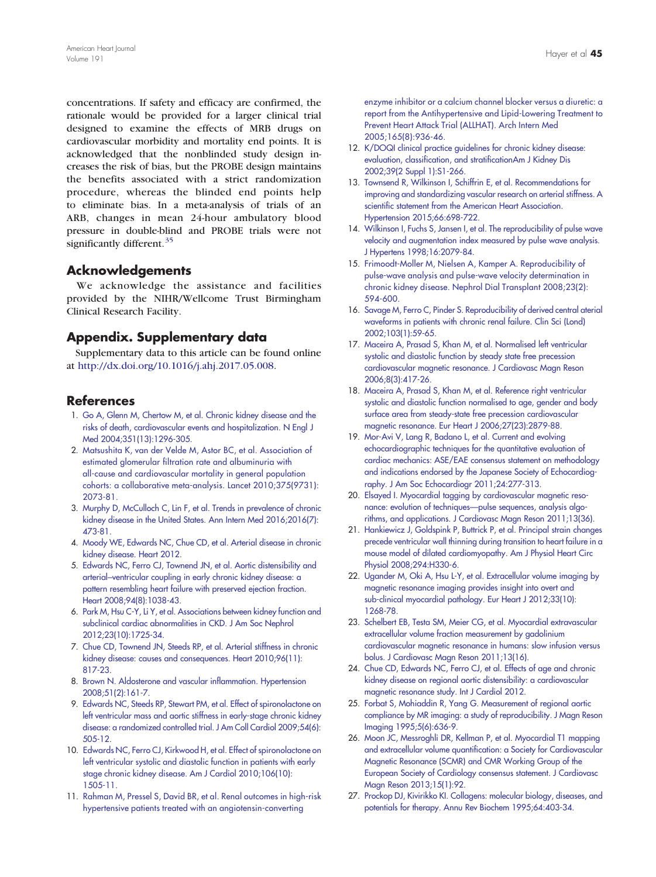<span id="page-8-0"></span>concentrations. If safety and efficacy are confirmed, the rationale would be provided for a larger clinical trial designed to examine the effects of MRB drugs on cardiovascular morbidity and mortality end points. It is acknowledged that the nonblinded study design increases the risk of bias, but the PROBE design maintains the benefits associated with a strict randomization procedure, whereas the blinded end points help to eliminate bias. In a meta-analysis of trials of an ARB, changes in mean 24-hour ambulatory blood pressure in double-blind and PROBE trials were not significantly different[.](#page-9-0)<sup>[35](#page-9-0)</sup>

# Acknowledgements

We acknowledge the assistance and facilities provided by the NIHR/Wellcome Trust Birmingham Clinical Research Facility.

# Appendix. Supplementary data

Supplementary data to this article can be found online at <http://dx.doi.org/10.1016/j.ahj.2017.05.008>.

# **References**

- 1. [Go A, Glenn M, Chertow M, et al. Chronic kidney disease and the](http://refhub.elsevier.com/S0002-8703(17)30149-7/rf0005) [risks of death, cardiovascular events and hospitalization. N Engl J](http://refhub.elsevier.com/S0002-8703(17)30149-7/rf0005) [Med 2004;351\(13\):1296-305.](http://refhub.elsevier.com/S0002-8703(17)30149-7/rf0005)
- 2. [Matsushita K, van der Velde M, Astor BC, et al. Association of](http://refhub.elsevier.com/S0002-8703(17)30149-7/rf0010) [estimated glomerular filtration rate and albuminuria with](http://refhub.elsevier.com/S0002-8703(17)30149-7/rf0010) [all-cause and cardiovascular mortality in general population](http://refhub.elsevier.com/S0002-8703(17)30149-7/rf0010) [cohorts: a collaborative meta-analysis. Lancet 2010;375\(9731\):](http://refhub.elsevier.com/S0002-8703(17)30149-7/rf0010) [2073-81.](http://refhub.elsevier.com/S0002-8703(17)30149-7/rf0010)
- 3. [Murphy D, McCulloch C, Lin F, et al. Trends in prevalence of chronic](http://refhub.elsevier.com/S0002-8703(17)30149-7/rf0015) [kidney disease in the United States. Ann Intern Med 2016;2016\(7\):](http://refhub.elsevier.com/S0002-8703(17)30149-7/rf0015) [473-81.](http://refhub.elsevier.com/S0002-8703(17)30149-7/rf0015)
- 4. [Moody WE, Edwards NC, Chue CD, et al. Arterial disease in chronic](http://refhub.elsevier.com/S0002-8703(17)30149-7/rf0020) [kidney disease. Heart 2012.](http://refhub.elsevier.com/S0002-8703(17)30149-7/rf0020)
- 5. [Edwards NC, Ferro CJ, Townend JN, et al. Aortic distensibility and](http://refhub.elsevier.com/S0002-8703(17)30149-7/rf0025) arterial–[ventricular coupling in early chronic kidney disease: a](http://refhub.elsevier.com/S0002-8703(17)30149-7/rf0025) [pattern resembling heart failure with preserved ejection fraction.](http://refhub.elsevier.com/S0002-8703(17)30149-7/rf0025) [Heart 2008;94\(8\):1038-43.](http://refhub.elsevier.com/S0002-8703(17)30149-7/rf0025)
- 6. [Park M, Hsu C-Y, Li Y, et al. Associations between kidney function and](http://refhub.elsevier.com/S0002-8703(17)30149-7/rf0030) [subclinical cardiac abnormalities in CKD. J Am Soc Nephrol](http://refhub.elsevier.com/S0002-8703(17)30149-7/rf0030) [2012;23\(10\):1725-34.](http://refhub.elsevier.com/S0002-8703(17)30149-7/rf0030)
- 7. [Chue CD, Townend JN, Steeds RP, et al. Arterial stiffness in chronic](http://refhub.elsevier.com/S0002-8703(17)30149-7/rf0035) [kidney disease: causes and consequences. Heart 2010;96\(11\):](http://refhub.elsevier.com/S0002-8703(17)30149-7/rf0035) [817-23.](http://refhub.elsevier.com/S0002-8703(17)30149-7/rf0035)
- 8. [Brown N. Aldosterone and vascular inflammation. Hypertension](http://refhub.elsevier.com/S0002-8703(17)30149-7/rf0040) [2008;51\(2\):161-7.](http://refhub.elsevier.com/S0002-8703(17)30149-7/rf0040)
- 9. [Edwards NC, Steeds RP, Stewart PM, et al. Effect of spironolactone on](http://refhub.elsevier.com/S0002-8703(17)30149-7/rf0045) [left ventricular mass and aortic stiffness in early-stage chronic kidney](http://refhub.elsevier.com/S0002-8703(17)30149-7/rf0045) [disease: a randomized controlled trial. J Am Coll Cardiol 2009;54\(6\):](http://refhub.elsevier.com/S0002-8703(17)30149-7/rf0045) [505-12.](http://refhub.elsevier.com/S0002-8703(17)30149-7/rf0045)
- 10. [Edwards NC, Ferro CJ, Kirkwood H, et](http://refhub.elsevier.com/S0002-8703(17)30149-7/rf0050) al. Effect of spironolactone on [left ventricular systolic and diastolic function in patients with early](http://refhub.elsevier.com/S0002-8703(17)30149-7/rf0050) [stage chronic kidney disease. Am J Cardiol 2010;106\(10\):](http://refhub.elsevier.com/S0002-8703(17)30149-7/rf0050) [1505-11.](http://refhub.elsevier.com/S0002-8703(17)30149-7/rf0050)
- 11. [Rahman M, Pressel S, David BR, et al. Renal outcomes in high-risk](http://refhub.elsevier.com/S0002-8703(17)30149-7/rf0055) [hypertensive patients treated with an angiotensin-converting](http://refhub.elsevier.com/S0002-8703(17)30149-7/rf0055)

[enzyme inhibitor or a calcium channel blocker versus a diuretic: a](http://refhub.elsevier.com/S0002-8703(17)30149-7/rf0055) [report from the Antihypertensive and Lipid-Lowering Treatment to](http://refhub.elsevier.com/S0002-8703(17)30149-7/rf0055) [Prevent Heart Attack Trial \(ALLHAT\). Arch Intern Med](http://refhub.elsevier.com/S0002-8703(17)30149-7/rf0055) [2005;165\(8\):936-46.](http://refhub.elsevier.com/S0002-8703(17)30149-7/rf0055)

- 12. [K/DOQI clinical practice guidelines for chronic kidney disease:](http://refhub.elsevier.com/S0002-8703(17)30149-7/rf0060) [evaluation, classification, and stratificationAm J Kidney Dis](http://refhub.elsevier.com/S0002-8703(17)30149-7/rf0060) [2002;39\(2 Suppl 1\):S1-266.](http://refhub.elsevier.com/S0002-8703(17)30149-7/rf0060)
- 13. [Townsend R, Wilkinson I, Schiffrin E, et al. Recommendations for](http://refhub.elsevier.com/S0002-8703(17)30149-7/rf0065) [improving and standardizing vascular research on arterial stiffness. A](http://refhub.elsevier.com/S0002-8703(17)30149-7/rf0065) [scientific statement from the American Heart Association.](http://refhub.elsevier.com/S0002-8703(17)30149-7/rf0065) [Hypertension 2015;66:698-722.](http://refhub.elsevier.com/S0002-8703(17)30149-7/rf0065)
- 14. [Wilkinson I, Fuchs S, Jansen I, et al. The reproducibility of pulse wave](http://refhub.elsevier.com/S0002-8703(17)30149-7/rf0070) [velocity and augmentation index measured by pulse wave analysis.](http://refhub.elsevier.com/S0002-8703(17)30149-7/rf0070) [J Hypertens 1998;16:2079-84.](http://refhub.elsevier.com/S0002-8703(17)30149-7/rf0070)
- 15. [Frimoodt-Moller M, Nielsen A,](http://refhub.elsevier.com/S0002-8703(17)30149-7/rf0075) Kamper A. Reproducibility of [pulse-wave analysis and pulse-wave velocity determination in](http://refhub.elsevier.com/S0002-8703(17)30149-7/rf0075) [chronic kidney disease. Nephrol Dial Transplant 2008;23\(2\):](http://refhub.elsevier.com/S0002-8703(17)30149-7/rf0075) [594-600.](http://refhub.elsevier.com/S0002-8703(17)30149-7/rf0075)
- 16. [Savage M, Ferro C, Pinder S. Reproducibility of derived central aterial](http://refhub.elsevier.com/S0002-8703(17)30149-7/rf0080) [waveforms in patients with chronic renal failure. Clin Sci \(Lond\)](http://refhub.elsevier.com/S0002-8703(17)30149-7/rf0080) [2002;103\(1\):59-65.](http://refhub.elsevier.com/S0002-8703(17)30149-7/rf0080)
- 17. [Maceira A, Prasad S, Khan M, et al. Normalised left ventricular](http://refhub.elsevier.com/S0002-8703(17)30149-7/rf0085) [systolic and diastolic function by steady state free precession](http://refhub.elsevier.com/S0002-8703(17)30149-7/rf0085) [cardiovascular magnetic resonance. J Cardiovasc Magn Reson](http://refhub.elsevier.com/S0002-8703(17)30149-7/rf0085) [2006;8\(3\):417-26.](http://refhub.elsevier.com/S0002-8703(17)30149-7/rf0085)
- 18. [Maceira A, Prasad S, Khan M, et al. Reference right ventricular](http://refhub.elsevier.com/S0002-8703(17)30149-7/rf0090) [systolic and diastolic function normalised to age, gender and body](http://refhub.elsevier.com/S0002-8703(17)30149-7/rf0090) [surface area from steady-state free precession cardiovascular](http://refhub.elsevier.com/S0002-8703(17)30149-7/rf0090) [magnetic resonance. Eur Heart J 2006;27\(23\):2879-88.](http://refhub.elsevier.com/S0002-8703(17)30149-7/rf0090)
- 19. [Mor-Avi V, Lang R, Badano L, et al. Current and evolving](http://refhub.elsevier.com/S0002-8703(17)30149-7/rf0095) [echocardiographic techniques for the quantitative evaluation of](http://refhub.elsevier.com/S0002-8703(17)30149-7/rf0095) [cardiac mechanics: ASE/EAE consensus statement on methodology](http://refhub.elsevier.com/S0002-8703(17)30149-7/rf0095) [and indications endorsed by the Japanese Society of Echocardiog](http://refhub.elsevier.com/S0002-8703(17)30149-7/rf0095)[raphy. J Am Soc Echocardiogr 2011;24:277-313.](http://refhub.elsevier.com/S0002-8703(17)30149-7/rf0095)
- 20. [Elsayed I. Myocardial tagging by cardiovascular magnetic reso](http://refhub.elsevier.com/S0002-8703(17)30149-7/rf0100)nance: evolution of techniques—[pulse sequences, analysis algo](http://refhub.elsevier.com/S0002-8703(17)30149-7/rf0100)rithms, [and applications. J Cardiovasc Magn Reson 2011;13\(36\).](http://refhub.elsevier.com/S0002-8703(17)30149-7/rf0100)
- 21. [Hankiewicz J, Goldspink P, Buttrick P, et al. Principal strain changes](http://refhub.elsevier.com/S0002-8703(17)30149-7/rf0105) [precede ventricular wall thinning during transition to heart failure in a](http://refhub.elsevier.com/S0002-8703(17)30149-7/rf0105) [mouse model of dilated cardiomyopathy. Am J Physiol Heart Circ](http://refhub.elsevier.com/S0002-8703(17)30149-7/rf0105) [Physiol 2008;294:H330-6.](http://refhub.elsevier.com/S0002-8703(17)30149-7/rf0105)
- 22. [Ugander M, Oki A, Hsu L-Y, et al. Extracellular volume imaging by](http://refhub.elsevier.com/S0002-8703(17)30149-7/rf0110) [magnetic resonance imaging provides insight into overt and](http://refhub.elsevier.com/S0002-8703(17)30149-7/rf0110) [sub-clinical myocardial pathology. Eur Heart J 2012;33\(10\):](http://refhub.elsevier.com/S0002-8703(17)30149-7/rf0110) [1268-78.](http://refhub.elsevier.com/S0002-8703(17)30149-7/rf0110)
- 23. [Schelbert EB, Testa SM, Meier CG, et al. Myocardial extravascular](http://refhub.elsevier.com/S0002-8703(17)30149-7/rf0115) [extracellular volume fraction measurement by gadolinium](http://refhub.elsevier.com/S0002-8703(17)30149-7/rf0115) [cardiovascular magnetic resonance in humans: slow infusion versus](http://refhub.elsevier.com/S0002-8703(17)30149-7/rf0115) [bolus. J Cardiovasc Magn Reson 2011;13\(16\).](http://refhub.elsevier.com/S0002-8703(17)30149-7/rf0115)
- 24. [Chue CD, Edwards NC, Ferro CJ, et al. Effects of age and chronic](http://refhub.elsevier.com/S0002-8703(17)30149-7/rf0120) [kidney disease on regional aortic distensibility: a cardiovascular](http://refhub.elsevier.com/S0002-8703(17)30149-7/rf0120) [magnetic resonance study. Int J Cardiol 2012.](http://refhub.elsevier.com/S0002-8703(17)30149-7/rf0120)
- 25. [Forbat S, Mohiaddin R, Yang G. Measurement of regional aortic](http://refhub.elsevier.com/S0002-8703(17)30149-7/rf0125) [compliance by MR imaging: a study of reproducibility. J Magn Reson](http://refhub.elsevier.com/S0002-8703(17)30149-7/rf0125) [Imaging 1995;5\(6\):636-9.](http://refhub.elsevier.com/S0002-8703(17)30149-7/rf0125)
- 26. [Moon JC, Messroghli DR, Kellman P, et al. Myocardial T1 mapping](http://refhub.elsevier.com/S0002-8703(17)30149-7/rf0130) [and extracellular volume quantification: a Society for Cardiovascular](http://refhub.elsevier.com/S0002-8703(17)30149-7/rf0130) [Magnetic Resonance \(SCMR\) and CMR Working Group of the](http://refhub.elsevier.com/S0002-8703(17)30149-7/rf0130) [European Society of Cardiology consensus statement. J Cardiovasc](http://refhub.elsevier.com/S0002-8703(17)30149-7/rf0130) [Magn Reson 2013;15\(1\):92.](http://refhub.elsevier.com/S0002-8703(17)30149-7/rf0130)
- 27. [Prockop DJ, Kivirikko KI. Collagens: molecular biology, diseases, and](http://refhub.elsevier.com/S0002-8703(17)30149-7/rf0135) [potentials for therapy. Annu Rev Biochem 1995;64:403-34.](http://refhub.elsevier.com/S0002-8703(17)30149-7/rf0135)